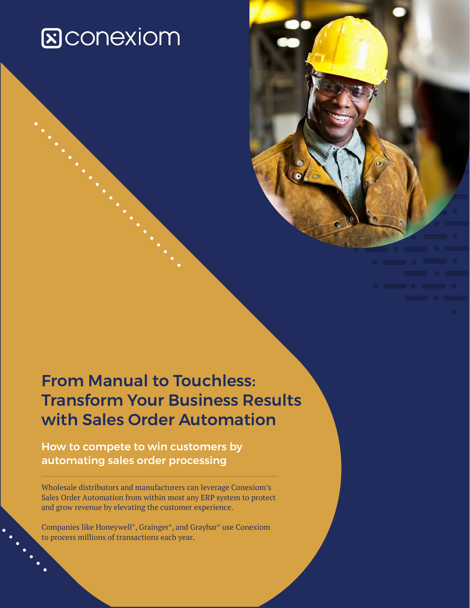# **E**CONEXIOM

## From Manual to Touchless: Transform Your Business Results with Sales Order Automation

How to compete to win customers by automating sales order processing

Wholesale distributors and manufacturers can leverage Conexiom's Sales Order Automation from within most any ERP system to protect and grow revenue by elevating the customer experience.

Companies like Honeywell®, Grainger®, and Graybar® use Conexiom to process millions of transactions each year.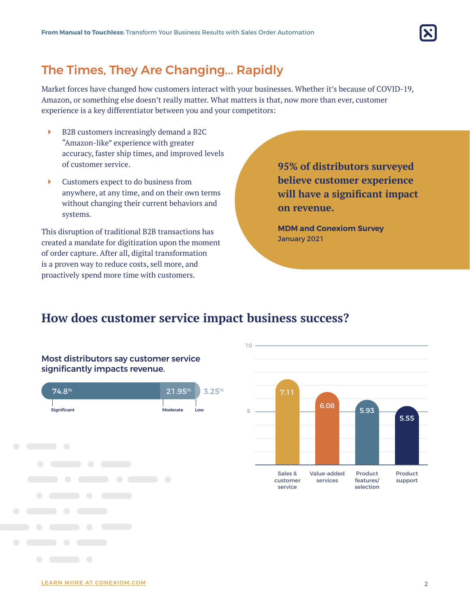

### The Times, They Are Changing... Rapidly

Market forces have changed how customers interact with your businesses. Whether it's because of COVID-19, Amazon, or something else doesn't really matter. What matters is that, now more than ever, customer experience is a key differentiator between you and your competitors:

- Î B2B customers increasingly demand a B2C "Amazon-like" experience with greater accuracy, faster ship times, and improved levels of customer service.
- $\blacktriangleright$  Customers expect to do business from anywhere, at any time, and on their own terms without changing their current behaviors and systems.

This disruption of traditional B2B transactions has created a mandate for digitization upon the moment of order capture. After all, digital transformation is a proven way to reduce costs, sell more, and proactively spend more time with customers.

**95% of distributors surveyed believe customer experience will have a significant impact on revenue.** 

**MDM and Conexiom Survey** January 2021

### **How does customer service impact business success? How does customer service impact business success?**



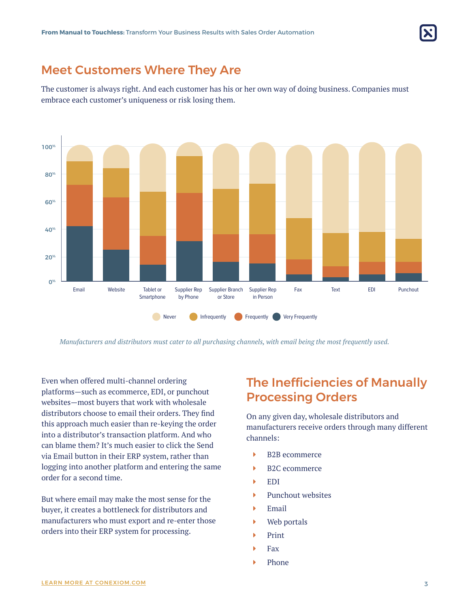

### Meet Customers Where They Are

The customer is always right. And each customer has his or her own way of doing business. Companies must embrace each customer's uniqueness or risk losing them.



*Manufacturers and distributors must cater to all purchasing channels, with email being the most frequently used.*

Even when offered multi-channel ordering platforms—such as ecommerce, EDI, or punchout websites—most buyers that work with wholesale distributors choose to email their orders. They find this approach much easier than re-keying the order into a distributor's transaction platform. And who can blame them? It's much easier to click the Send via Email button in their ERP system, rather than logging into another platform and entering the same order for a second time.

But where email may make the most sense for the buyer, it creates a bottleneck for distributors and manufacturers who must export and re-enter those orders into their ERP system for processing.

### The Inefficiencies of Manually Processing Orders

On any given day, wholesale distributors and manufacturers receive orders through many different channels:

- $\blacktriangleright$  B2B ecommerce
- $\blacktriangleright$  B2C ecommerce
- $\blacktriangleright$  EDI
- $\blacktriangleright$  Punchout websites
- $\blacktriangleright$  Email
- $\triangleright$  Web portals
- **Print**
- **Fax**
- Phone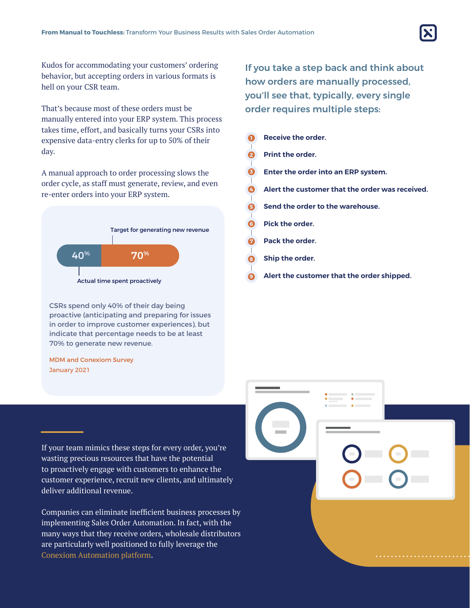

Kudos for accommodating your customers' ordering behavior, but accepting orders in various formats is hell on your CSR team.

That's because most of these orders must be manually entered into your ERP system. This process takes time, effort, and basically turns your CSRs into expensive data-entry clerks for up to 50% of their day.

A manual approach to order processing slows the order cycle, as staff must generate, review, and even re-enter orders into your ERP system.



CSRs spend only 40% of their day being proactive (anticipating and preparing for issues in order to improve customer experiences), but indicate that percentage needs to be at least 70% to generate new revenue.

#### MDM and Conexiom Survey January 2021

If you take a step back and think about how orders are manually processed, you'll see that, typically, every single order requires multiple steps:

|   | Receive the order.                              |
|---|-------------------------------------------------|
|   | <b>Print the order.</b>                         |
|   | Enter the order into an ERP system.             |
|   | Alert the customer that the order was received. |
|   | Send the order to the warehouse.                |
| G | Pick the order.                                 |
|   | Pack the order.                                 |
| З | Ship the order.                                 |
|   | Alert the customer that the order shipped.      |
|   |                                                 |

If your team mimics these steps for every order, you're wasting precious resources that have the potential to proactively engage with customers to enhance the customer experience, recruit new clients, and ultimately deliver additional revenue.

Companies can eliminate inefficient business processes by implementing Sales Order Automation. In fact, with the many ways that they receive orders, wholesale distributors are particularly well positioned to fully leverage the Conexiom Automation platform.

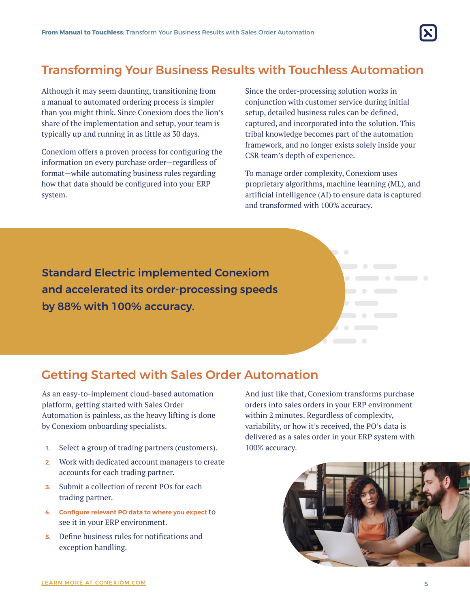

### Transforming Your Business Results with Touchless Automation

Although it may seem daunting, transitioning from a manual to automated ordering process is simpler than you might think. Since Conexiom does the lion's share of the implementation and setup, your team is typically up and running in as little as 30 days.

Conexiom offers a proven process for configuring the information on every purchase order—regardless of format—while automating business rules regarding how that data should be configured into your ERP system.

Since the order-processing solution works in conjunction with customer service during initial setup, detailed business rules can be defined, captured, and incorporated into the solution. This tribal knowledge becomes part of the automation framework, and no longer exists solely inside your CSR team's depth of experience.

To manage order complexity, Conexiom uses proprietary algorithms, machine learning (ML), and artificial intelligence (AI) to ensure data is captured and transformed with 100% accuracy.

Standard Electric implemented Conexiom and accelerated its order-processing speeds by 88% with 100% accuracy.

### Getting Started with Sales Order Automation

As an easy-to-implement cloud-based automation platform, getting started with Sales Order Automation is painless, as the heavy lifting is done by Conexiom onboarding specialists.

- **1.** Select a group of trading partners (customers).
- **2.** Work with dedicated account managers to create accounts for each trading partner.
- **3.** Submit a collection of recent POs for each trading partner.
- **4. Configure relevant PO data to where you expect** to see it in your ERP environment.
- **5.** Define business rules for notifications and exception handling.

And just like that, Conexiom transforms purchase orders into sales orders in your ERP environment within 2 minutes. Regardless of complexity, variability, or how it's received, the PO's data is delivered as a sales order in your ERP system with 100% accuracy.



**The Common Common Common**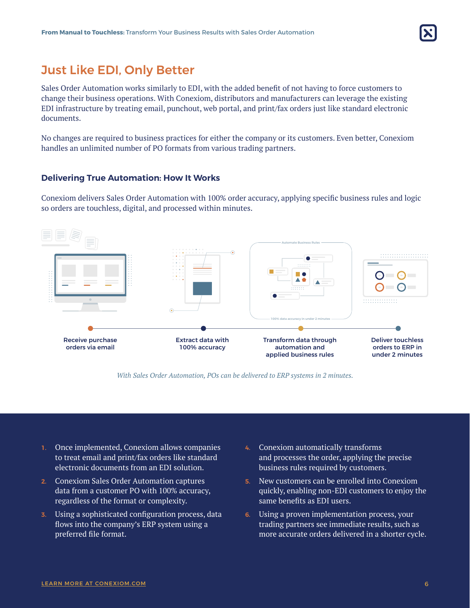

### Just Like EDI, Only Better

Sales Order Automation works similarly to EDI, with the added benefit of not having to force customers to change their business operations. With Conexiom, distributors and manufacturers can leverage the existing EDI infrastructure by treating email, punchout, web portal, and print/fax orders just like standard electronic documents.

No changes are required to business practices for either the company or its customers. Even better, Conexiom handles an unlimited number of PO formats from various trading partners.

#### **Delivering True Automation: How It Works**

Conexiom delivers Sales Order Automation with 100% order accuracy, applying specific business rules and logic so orders are touchless, digital, and processed within minutes.



*With Sales Order Automation, POs can be delivered to ERP systems in 2 minutes.*

- **1.** Once implemented, Conexiom allows companies to treat email and print/fax orders like standard electronic documents from an EDI solution.
- **2.** Conexiom Sales Order Automation captures data from a customer PO with 100% accuracy, regardless of the format or complexity.
- **3.** Using a sophisticated configuration process, data flows into the company's ERP system using a preferred file format.
- **4.** Conexiom automatically transforms and processes the order, applying the precise business rules required by customers.
- **5.** New customers can be enrolled into Conexiom quickly, enabling non-EDI customers to enjoy the same benefits as EDI users.
- **6.** Using a proven implementation process, your trading partners see immediate results, such as more accurate orders delivered in a shorter cycle.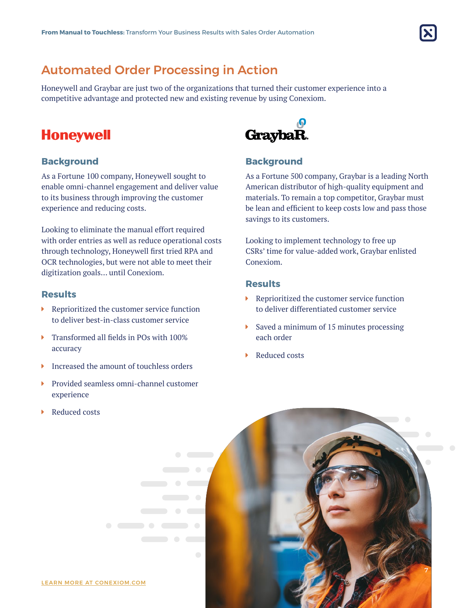

### Automated Order Processing in Action

Honeywell and Graybar are just two of the organizations that turned their customer experience into a competitive advantage and protected new and existing revenue by using Conexiom.

### **Honeywell**

#### **Background**

As a Fortune 100 company, Honeywell sought to enable omni-channel engagement and deliver value to its business through improving the customer experience and reducing costs.

Looking to eliminate the manual effort required with order entries as well as reduce operational costs through technology, Honeywell first tried RPA and OCR technologies, but were not able to meet their digitization goals… until Conexiom.

#### **Results**

- $\blacktriangleright$  Reprioritized the customer service function to deliver best-in-class customer service
- $\blacktriangleright$  Transformed all fields in POs with 100% accuracy
- $\triangleright$  Increased the amount of touchless orders
- $\blacktriangleright$  Provided seamless omni-channel customer experience

 $\begin{array}{ccc} \bullet & \bullet & \bullet & \bullet \end{array}$ 

 $\blacktriangleright$  Reduced costs



#### **Background**

As a Fortune 500 company, Graybar is a leading North American distributor of high-quality equipment and materials. To remain a top competitor, Graybar must be lean and efficient to keep costs low and pass those savings to its customers.

Looking to implement technology to free up CSRs' time for value-added work, Graybar enlisted Conexiom.

#### **Results**

- $\blacktriangleright$  Reprioritized the customer service function to deliver differentiated customer service
- $\triangleright$  Saved a minimum of 15 minutes processing each order
- Reduced costs